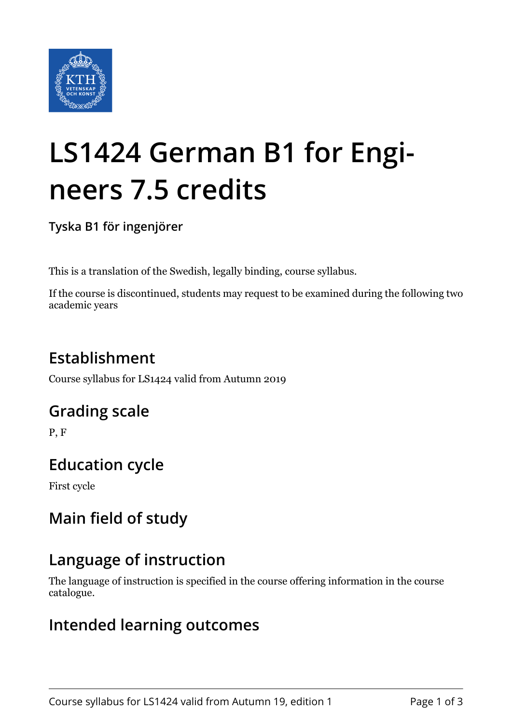

# **LS1424 German B1 for Engineers 7.5 credits**

**Tyska B1 för ingenjörer**

This is a translation of the Swedish, legally binding, course syllabus.

If the course is discontinued, students may request to be examined during the following two academic years

# **Establishment**

Course syllabus for LS1424 valid from Autumn 2019

## **Grading scale**

P, F

# **Education cycle**

First cycle

# **Main field of study**

# **Language of instruction**

The language of instruction is specified in the course offering information in the course catalogue.

## **Intended learning outcomes**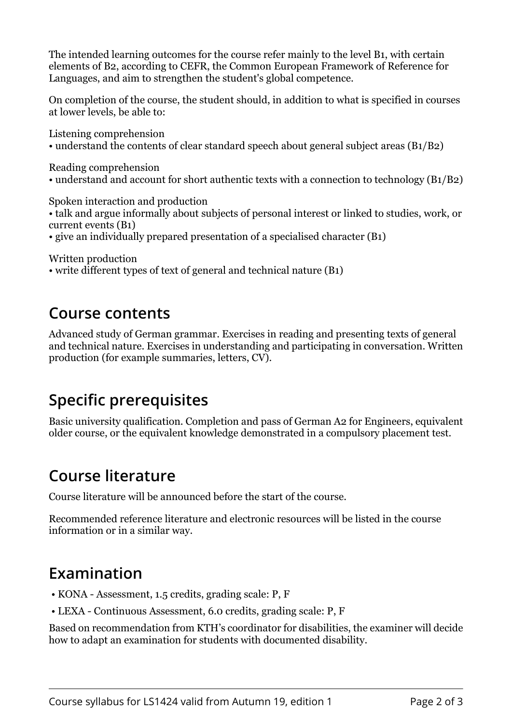The intended learning outcomes for the course refer mainly to the level B1, with certain elements of B2, according to CEFR, the Common European Framework of Reference for Languages, and aim to strengthen the student's global competence.

On completion of the course, the student should, in addition to what is specified in courses at lower levels, be able to:

Listening comprehension • understand the contents of clear standard speech about general subject areas (B1/B2)

Reading comprehension

• understand and account for short authentic texts with a connection to technology (B1/B2)

Spoken interaction and production

• talk and argue informally about subjects of personal interest or linked to studies, work, or current events (B1)

• give an individually prepared presentation of a specialised character (B1)

Written production

• write different types of text of general and technical nature (B1)

#### **Course contents**

Advanced study of German grammar. Exercises in reading and presenting texts of general and technical nature. Exercises in understanding and participating in conversation. Written production (for example summaries, letters, CV).

## **Specific prerequisites**

Basic university qualification. Completion and pass of German A2 for Engineers, equivalent older course, or the equivalent knowledge demonstrated in a compulsory placement test.

## **Course literature**

Course literature will be announced before the start of the course.

Recommended reference literature and electronic resources will be listed in the course information or in a similar way.

## **Examination**

- KONA Assessment, 1.5 credits, grading scale: P, F
- LEXA Continuous Assessment, 6.0 credits, grading scale: P, F

Based on recommendation from KTH's coordinator for disabilities, the examiner will decide how to adapt an examination for students with documented disability.